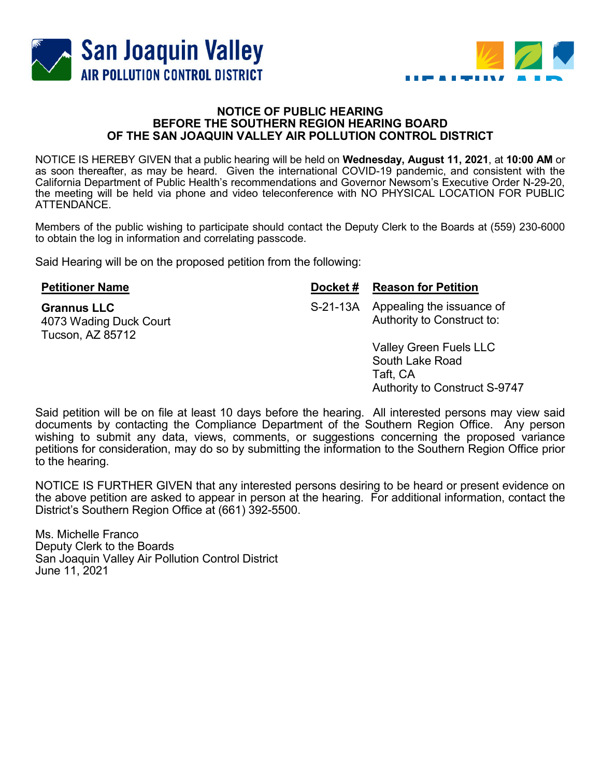



## NOTICE OF PUBLIC HEARING BEFORE THE SOUTHERN REGION HEARING BOARD OF THE SAN JOAQUIN VALLEY AIR POLLUTION CONTROL DISTRICT

NOTICE IS HEREBY GIVEN that a public hearing will be held on Wednesday, August 11, 2021, at 10:00 AM or as soon thereafter, as may be heard. Given the international COVID-19 pandemic, and consistent with the California Department of Public Health's recommendations and Governor Newsom's Executive Order N-29-20, the meeting will be held via phone and video teleconference with NO PHYSICAL LOCATION FOR PUBLIC ATTENDANCE.

Members of the public wishing to participate should contact the Deputy Clerk to the Boards at (559) 230-6000 to obtain the log in information and correlating passcode.

Said Hearing will be on the proposed petition from the following:

| <b>Petitioner Name</b>                                           | Docket# | <b>Reason for Petition</b>                                                                    |
|------------------------------------------------------------------|---------|-----------------------------------------------------------------------------------------------|
| <b>Grannus LLC</b><br>4073 Wading Duck Court<br>Tucson, AZ 85712 |         | S-21-13A Appealing the issuance of<br>Authority to Construct to:                              |
|                                                                  |         | <b>Valley Green Fuels LLC</b><br>South Lake Road<br>Taft, CA<br>Authority to Construct S-9747 |

Said petition will be on file at least 10 days before the hearing. All interested persons may view said documents by contacting the Compliance Department of the Southern Region Office. Any person wishing to submit any data, views, comments, or suggestions concerning the proposed variance petitions for consideration, may do so by submitting the information to the Southern Region Office prior to the hearing.

NOTICE IS FURTHER GIVEN that any interested persons desiring to be heard or present evidence on the above petition are asked to appear in person at the hearing. For additional information, contact the District's Southern Region Office at (661) 392-5500.

Ms. Michelle Franco Deputy Clerk to the Boards San Joaquin Valley Air Pollution Control District June 11, 2021